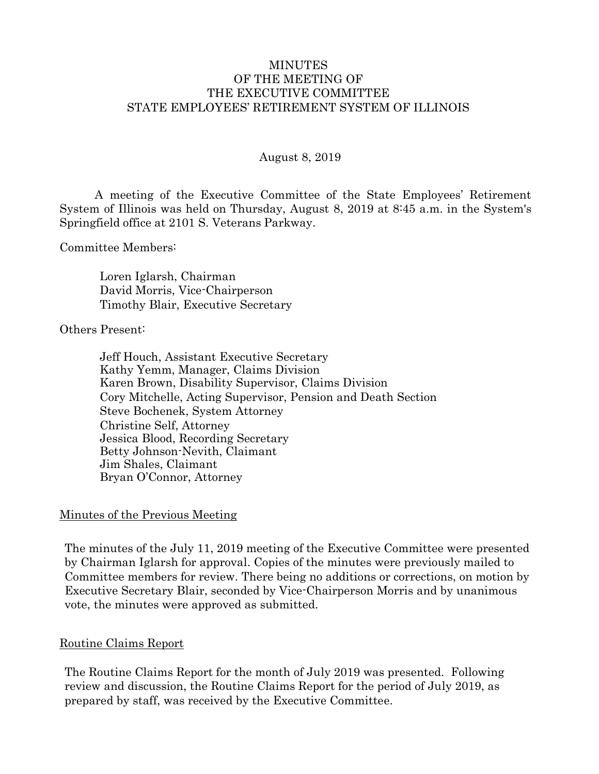#### MINUTES OF THE MEETING OF THE EXECUTIVE COMMITTEE STATE EMPLOYEES' RETIREMENT SYSTEM OF ILLINOIS

#### August 8, 2019

A meeting of the Executive Committee of the State Employees' Retirement System of Illinois was held on Thursday, August 8, 2019 at 8:45 a.m. in the System's Springfield office at 2101 S. Veterans Parkway.

Committee Members:

Loren Iglarsh, Chairman David Morris, Vice-Chairperson Timothy Blair, Executive Secretary

#### Others Present:

Jeff Houch, Assistant Executive Secretary Kathy Yemm, Manager, Claims Division Karen Brown, Disability Supervisor, Claims Division Cory Mitchelle, Acting Supervisor, Pension and Death Section Steve Bochenek, System Attorney Christine Self, Attorney Jessica Blood, Recording Secretary Betty Johnson-Nevith, Claimant Jim Shales, Claimant Bryan O'Connor, Attorney

#### Minutes of the Previous Meeting

The minutes of the July 11, 2019 meeting of the Executive Committee were presented by Chairman Iglarsh for approval. Copies of the minutes were previously mailed to Committee members for review. There being no additions or corrections, on motion by Executive Secretary Blair, seconded by Vice-Chairperson Morris and by unanimous vote, the minutes were approved as submitted.

#### Routine Claims Report

The Routine Claims Report for the month of July 2019 was presented. Following review and discussion, the Routine Claims Report for the period of July 2019, as prepared by staff, was received by the Executive Committee.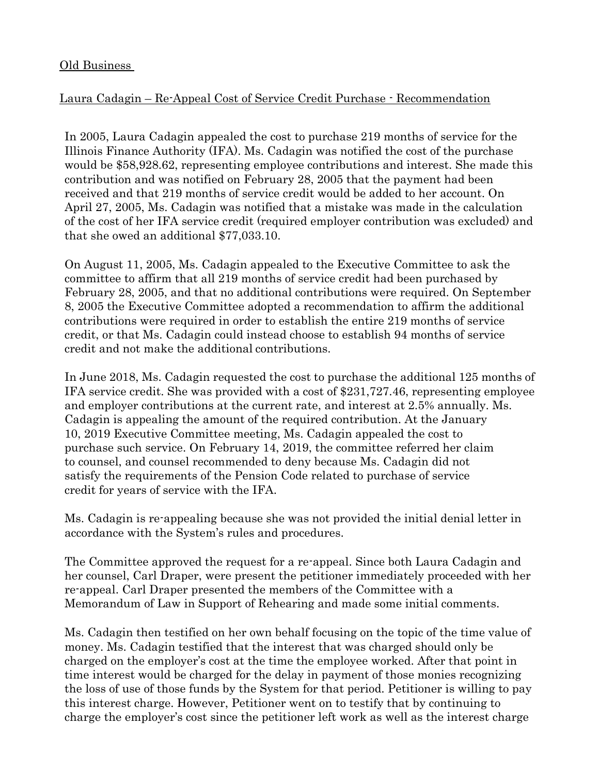#### Old Business

# Laura Cadagin – Re-Appeal Cost of Service Credit Purchase - Recommendation

In 2005, Laura Cadagin appealed the cost to purchase 219 months of service for the Illinois Finance Authority (IFA). Ms. Cadagin was notified the cost of the purchase would be \$58,928.62, representing employee contributions and interest. She made this contribution and was notified on February 28, 2005 that the payment had been received and that 219 months of service credit would be added to her account. On April 27, 2005, Ms. Cadagin was notified that a mistake was made in the calculation of the cost of her IFA service credit (required employer contribution was excluded) and that she owed an additional \$77,033.10.

On August 11, 2005, Ms. Cadagin appealed to the Executive Committee to ask the committee to affirm that all 219 months of service credit had been purchased by February 28, 2005, and that no additional contributions were required. On September 8, 2005 the Executive Committee adopted a recommendation to affirm the additional contributions were required in order to establish the entire 219 months of service credit, or that Ms. Cadagin could instead choose to establish 94 months of service credit and not make the additional contributions.

In June 2018, Ms. Cadagin requested the cost to purchase the additional 125 months of IFA service credit. She was provided with a cost of \$231,727.46, representing employee and employer contributions at the current rate, and interest at 2.5% annually. Ms. Cadagin is appealing the amount of the required contribution. At the January 10, 2019 Executive Committee meeting, Ms. Cadagin appealed the cost to purchase such service. On February 14, 2019, the committee referred her claim to counsel, and counsel recommended to deny because Ms. Cadagin did not satisfy the requirements of the Pension Code related to purchase of service credit for years of service with the IFA.

Ms. Cadagin is re-appealing because she was not provided the initial denial letter in accordance with the System's rules and procedures.

The Committee approved the request for a re-appeal. Since both Laura Cadagin and her counsel, Carl Draper, were present the petitioner immediately proceeded with her re-appeal. Carl Draper presented the members of the Committee with a Memorandum of Law in Support of Rehearing and made some initial comments.

Ms. Cadagin then testified on her own behalf focusing on the topic of the time value of money. Ms. Cadagin testified that the interest that was charged should only be charged on the employer's cost at the time the employee worked. After that point in time interest would be charged for the delay in payment of those monies recognizing the loss of use of those funds by the System for that period. Petitioner is willing to pay this interest charge. However, Petitioner went on to testify that by continuing to charge the employer's cost since the petitioner left work as well as the interest charge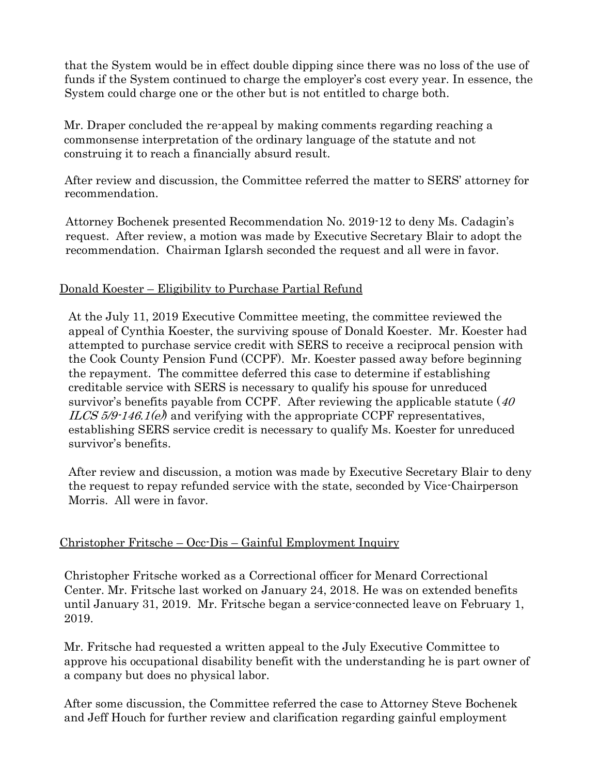that the System would be in effect double dipping since there was no loss of the use of funds if the System continued to charge the employer's cost every year. In essence, the System could charge one or the other but is not entitled to charge both.

Mr. Draper concluded the re-appeal by making comments regarding reaching a commonsense interpretation of the ordinary language of the statute and not construing it to reach a financially absurd result.

After review and discussion, the Committee referred the matter to SERS' attorney for recommendation.

Attorney Bochenek presented Recommendation No. 2019-12 to deny Ms. Cadagin's request. After review, a motion was made by Executive Secretary Blair to adopt the recommendation. Chairman Iglarsh seconded the request and all were in favor.

# Donald Koester – Eligibility to Purchase Partial Refund

At the July 11, 2019 Executive Committee meeting, the committee reviewed the appeal of Cynthia Koester, the surviving spouse of Donald Koester. Mr. Koester had attempted to purchase service credit with SERS to receive a reciprocal pension with the Cook County Pension Fund (CCPF). Mr. Koester passed away before beginning the repayment. The committee deferred this case to determine if establishing creditable service with SERS is necessary to qualify his spouse for unreduced survivor's benefits payable from CCPF. After reviewing the applicable statute  $(40)$ ILCS  $5/9.146.1(e)$  and verifying with the appropriate CCPF representatives, establishing SERS service credit is necessary to qualify Ms. Koester for unreduced survivor's benefits.

After review and discussion, a motion was made by Executive Secretary Blair to deny the request to repay refunded service with the state, seconded by Vice-Chairperson Morris. All were in favor.

# Christopher Fritsche – Occ-Dis – Gainful Employment Inquiry

Christopher Fritsche worked as a Correctional officer for Menard Correctional Center. Mr. Fritsche last worked on January 24, 2018. He was on extended benefits until January 31, 2019. Mr. Fritsche began a service-connected leave on February 1, 2019.

Mr. Fritsche had requested a written appeal to the July Executive Committee to approve his occupational disability benefit with the understanding he is part owner of a company but does no physical labor.

After some discussion, the Committee referred the case to Attorney Steve Bochenek and Jeff Houch for further review and clarification regarding gainful employment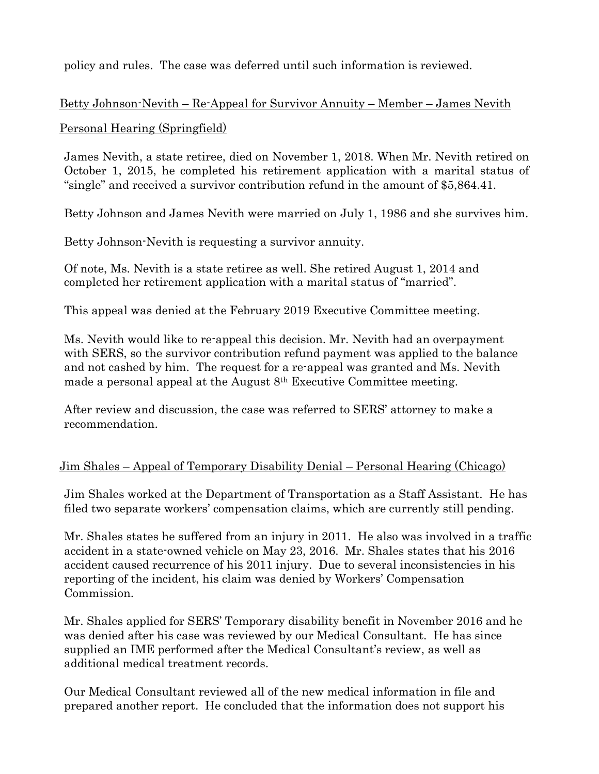policy and rules. The case was deferred until such information is reviewed.

# Betty Johnson-Nevith – Re-Appeal for Survivor Annuity – Member – James Nevith

#### Personal Hearing (Springfield)

James Nevith, a state retiree, died on November 1, 2018. When Mr. Nevith retired on October 1, 2015, he completed his retirement application with a marital status of "single" and received a survivor contribution refund in the amount of \$5,864.41.

Betty Johnson and James Nevith were married on July 1, 1986 and she survives him.

Betty Johnson-Nevith is requesting a survivor annuity.

Of note, Ms. Nevith is a state retiree as well. She retired August 1, 2014 and completed her retirement application with a marital status of "married".

This appeal was denied at the February 2019 Executive Committee meeting.

Ms. Nevith would like to re-appeal this decision. Mr. Nevith had an overpayment with SERS, so the survivor contribution refund payment was applied to the balance and not cashed by him. The request for a re-appeal was granted and Ms. Nevith made a personal appeal at the August 8th Executive Committee meeting.

After review and discussion, the case was referred to SERS' attorney to make a recommendation.

# Jim Shales – Appeal of Temporary Disability Denial – Personal Hearing (Chicago)

Jim Shales worked at the Department of Transportation as a Staff Assistant. He has filed two separate workers' compensation claims, which are currently still pending.

Mr. Shales states he suffered from an injury in 2011. He also was involved in a traffic accident in a state-owned vehicle on May 23, 2016. Mr. Shales states that his 2016 accident caused recurrence of his 2011 injury. Due to several inconsistencies in his reporting of the incident, his claim was denied by Workers' Compensation Commission.

Mr. Shales applied for SERS' Temporary disability benefit in November 2016 and he was denied after his case was reviewed by our Medical Consultant. He has since supplied an IME performed after the Medical Consultant's review, as well as additional medical treatment records.

Our Medical Consultant reviewed all of the new medical information in file and prepared another report. He concluded that the information does not support his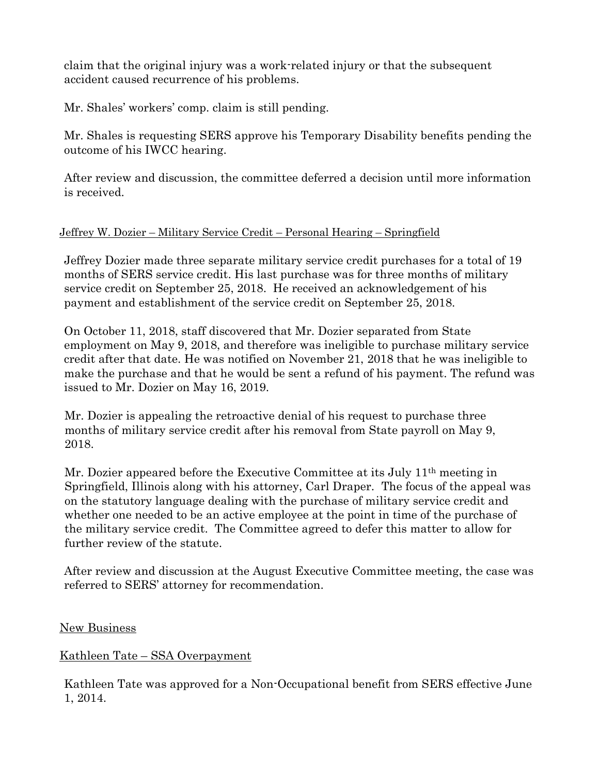claim that the original injury was a work-related injury or that the subsequent accident caused recurrence of his problems.

Mr. Shales' workers' comp. claim is still pending.

Mr. Shales is requesting SERS approve his Temporary Disability benefits pending the outcome of his IWCC hearing.

After review and discussion, the committee deferred a decision until more information is received.

# Jeffrey W. Dozier – Military Service Credit – Personal Hearing – Springfield

Jeffrey Dozier made three separate military service credit purchases for a total of 19 months of SERS service credit. His last purchase was for three months of military service credit on September 25, 2018. He received an acknowledgement of his payment and establishment of the service credit on September 25, 2018.

On October 11, 2018, staff discovered that Mr. Dozier separated from State employment on May 9, 2018, and therefore was ineligible to purchase military service credit after that date. He was notified on November 21, 2018 that he was ineligible to make the purchase and that he would be sent a refund of his payment. The refund was issued to Mr. Dozier on May 16, 2019.

Mr. Dozier is appealing the retroactive denial of his request to purchase three months of military service credit after his removal from State payroll on May 9, 2018.

Mr. Dozier appeared before the Executive Committee at its July 11th meeting in Springfield, Illinois along with his attorney, Carl Draper. The focus of the appeal was on the statutory language dealing with the purchase of military service credit and whether one needed to be an active employee at the point in time of the purchase of the military service credit. The Committee agreed to defer this matter to allow for further review of the statute.

After review and discussion at the August Executive Committee meeting, the case was referred to SERS' attorney for recommendation.

# **New Business**

# Kathleen Tate – SSA Overpayment

Kathleen Tate was approved for a Non-Occupational benefit from SERS effective June 1, 2014.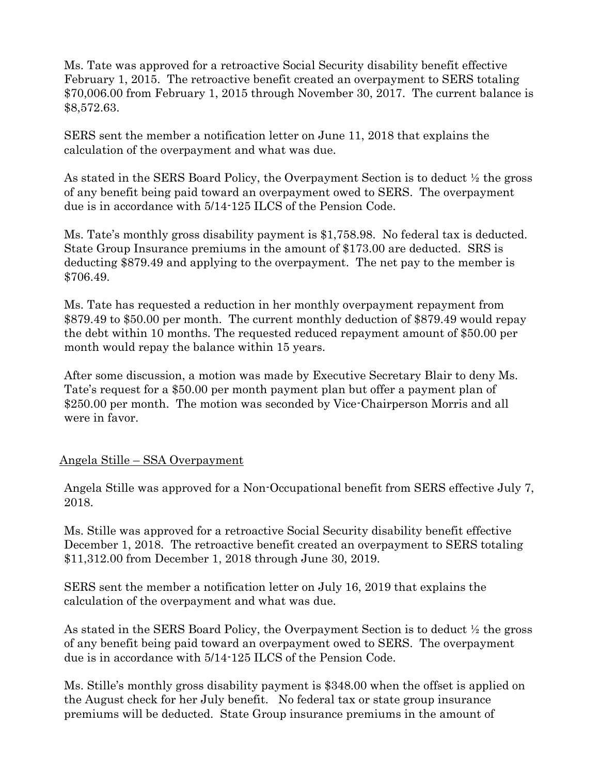Ms. Tate was approved for a retroactive Social Security disability benefit effective February 1, 2015. The retroactive benefit created an overpayment to SERS totaling \$70,006.00 from February 1, 2015 through November 30, 2017. The current balance is \$8,572.63.

SERS sent the member a notification letter on June 11, 2018 that explains the calculation of the overpayment and what was due.

As stated in the SERS Board Policy, the Overpayment Section is to deduct ½ the gross of any benefit being paid toward an overpayment owed to SERS. The overpayment due is in accordance with 5/14-125 ILCS of the Pension Code.

Ms. Tate's monthly gross disability payment is \$1,758.98. No federal tax is deducted. State Group Insurance premiums in the amount of \$173.00 are deducted. SRS is deducting \$879.49 and applying to the overpayment. The net pay to the member is \$706.49.

Ms. Tate has requested a reduction in her monthly overpayment repayment from \$879.49 to \$50.00 per month. The current monthly deduction of \$879.49 would repay the debt within 10 months. The requested reduced repayment amount of \$50.00 per month would repay the balance within 15 years.

After some discussion, a motion was made by Executive Secretary Blair to deny Ms. Tate's request for a \$50.00 per month payment plan but offer a payment plan of \$250.00 per month. The motion was seconded by Vice-Chairperson Morris and all were in favor.

# Angela Stille – SSA Overpayment

Angela Stille was approved for a Non-Occupational benefit from SERS effective July 7, 2018.

Ms. Stille was approved for a retroactive Social Security disability benefit effective December 1, 2018. The retroactive benefit created an overpayment to SERS totaling \$11,312.00 from December 1, 2018 through June 30, 2019.

SERS sent the member a notification letter on July 16, 2019 that explains the calculation of the overpayment and what was due.

As stated in the SERS Board Policy, the Overpayment Section is to deduct ½ the gross of any benefit being paid toward an overpayment owed to SERS. The overpayment due is in accordance with 5/14-125 ILCS of the Pension Code.

Ms. Stille's monthly gross disability payment is \$348.00 when the offset is applied on the August check for her July benefit. No federal tax or state group insurance premiums will be deducted. State Group insurance premiums in the amount of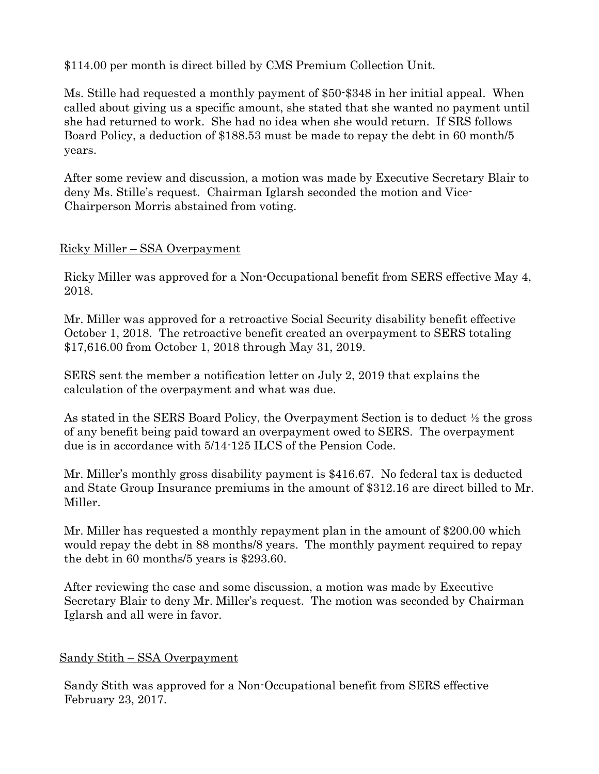\$114.00 per month is direct billed by CMS Premium Collection Unit.

Ms. Stille had requested a monthly payment of \$50-\$348 in her initial appeal. When called about giving us a specific amount, she stated that she wanted no payment until she had returned to work. She had no idea when she would return. If SRS follows Board Policy, a deduction of \$188.53 must be made to repay the debt in 60 month/5 years.

After some review and discussion, a motion was made by Executive Secretary Blair to deny Ms. Stille's request. Chairman Iglarsh seconded the motion and Vice-Chairperson Morris abstained from voting.

#### Ricky Miller – SSA Overpayment

Ricky Miller was approved for a Non-Occupational benefit from SERS effective May 4, 2018.

Mr. Miller was approved for a retroactive Social Security disability benefit effective October 1, 2018. The retroactive benefit created an overpayment to SERS totaling \$17,616.00 from October 1, 2018 through May 31, 2019.

SERS sent the member a notification letter on July 2, 2019 that explains the calculation of the overpayment and what was due.

As stated in the SERS Board Policy, the Overpayment Section is to deduct ½ the gross of any benefit being paid toward an overpayment owed to SERS. The overpayment due is in accordance with 5/14-125 ILCS of the Pension Code.

Mr. Miller's monthly gross disability payment is \$416.67. No federal tax is deducted and State Group Insurance premiums in the amount of \$312.16 are direct billed to Mr. Miller.

Mr. Miller has requested a monthly repayment plan in the amount of \$200.00 which would repay the debt in 88 months/8 years. The monthly payment required to repay the debt in 60 months/5 years is \$293.60.

After reviewing the case and some discussion, a motion was made by Executive Secretary Blair to deny Mr. Miller's request. The motion was seconded by Chairman Iglarsh and all were in favor.

# Sandy Stith – SSA Overpayment

Sandy Stith was approved for a Non-Occupational benefit from SERS effective February 23, 2017.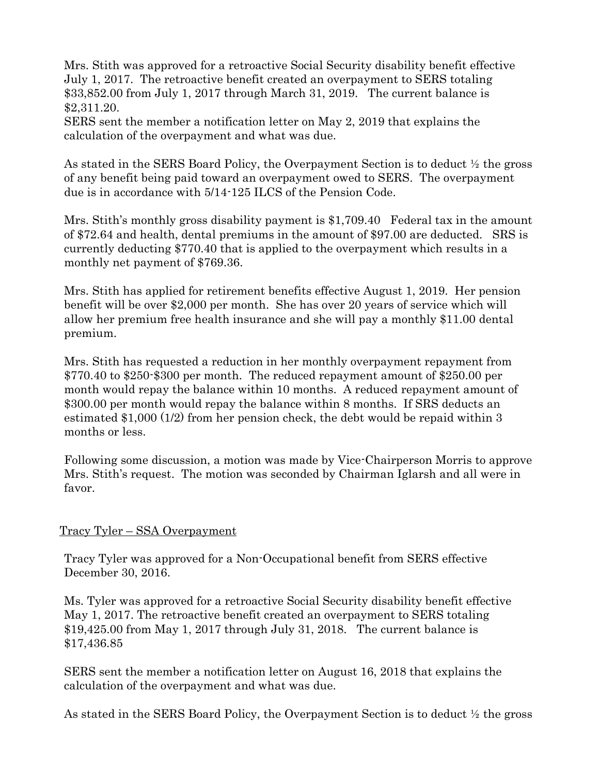Mrs. Stith was approved for a retroactive Social Security disability benefit effective July 1, 2017. The retroactive benefit created an overpayment to SERS totaling \$33,852.00 from July 1, 2017 through March 31, 2019. The current balance is \$2,311.20.

SERS sent the member a notification letter on May 2, 2019 that explains the calculation of the overpayment and what was due.

As stated in the SERS Board Policy, the Overpayment Section is to deduct ½ the gross of any benefit being paid toward an overpayment owed to SERS. The overpayment due is in accordance with 5/14-125 ILCS of the Pension Code.

Mrs. Stith's monthly gross disability payment is \$1,709.40 Federal tax in the amount of \$72.64 and health, dental premiums in the amount of \$97.00 are deducted. SRS is currently deducting \$770.40 that is applied to the overpayment which results in a monthly net payment of \$769.36.

Mrs. Stith has applied for retirement benefits effective August 1, 2019. Her pension benefit will be over \$2,000 per month. She has over 20 years of service which will allow her premium free health insurance and she will pay a monthly \$11.00 dental premium.

Mrs. Stith has requested a reduction in her monthly overpayment repayment from \$770.40 to \$250-\$300 per month. The reduced repayment amount of \$250.00 per month would repay the balance within 10 months. A reduced repayment amount of \$300.00 per month would repay the balance within 8 months. If SRS deducts an estimated \$1,000 (1/2) from her pension check, the debt would be repaid within 3 months or less.

Following some discussion, a motion was made by Vice-Chairperson Morris to approve Mrs. Stith's request. The motion was seconded by Chairman Iglarsh and all were in favor.

# Tracy Tyler – SSA Overpayment

Tracy Tyler was approved for a Non-Occupational benefit from SERS effective December 30, 2016.

Ms. Tyler was approved for a retroactive Social Security disability benefit effective May 1, 2017. The retroactive benefit created an overpayment to SERS totaling \$19,425.00 from May 1, 2017 through July 31, 2018. The current balance is \$17,436.85

SERS sent the member a notification letter on August 16, 2018 that explains the calculation of the overpayment and what was due.

As stated in the SERS Board Policy, the Overpayment Section is to deduct ½ the gross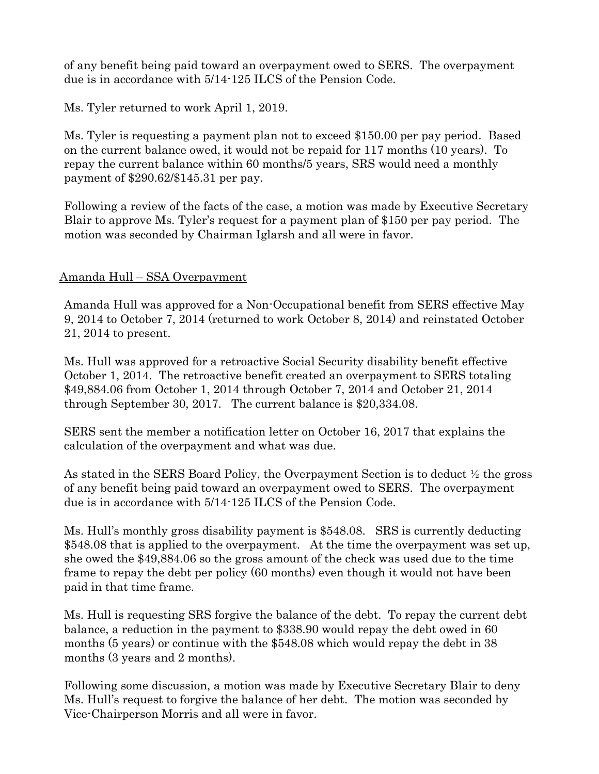of any benefit being paid toward an overpayment owed to SERS. The overpayment due is in accordance with 5/14-125 ILCS of the Pension Code.

Ms. Tyler returned to work April 1, 2019.

Ms. Tyler is requesting a payment plan not to exceed \$150.00 per pay period. Based on the current balance owed, it would not be repaid for 117 months (10 years). To repay the current balance within 60 months/5 years, SRS would need a monthly payment of \$290.62/\$145.31 per pay.

Following a review of the facts of the case, a motion was made by Executive Secretary Blair to approve Ms. Tyler's request for a payment plan of \$150 per pay period. The motion was seconded by Chairman Iglarsh and all were in favor.

# Amanda Hull – SSA Overpayment

Amanda Hull was approved for a Non-Occupational benefit from SERS effective May 9, 2014 to October 7, 2014 (returned to work October 8, 2014) and reinstated October 21, 2014 to present.

Ms. Hull was approved for a retroactive Social Security disability benefit effective October 1, 2014. The retroactive benefit created an overpayment to SERS totaling \$49,884.06 from October 1, 2014 through October 7, 2014 and October 21, 2014 through September 30, 2017. The current balance is \$20,334.08.

SERS sent the member a notification letter on October 16, 2017 that explains the calculation of the overpayment and what was due.

As stated in the SERS Board Policy, the Overpayment Section is to deduct ½ the gross of any benefit being paid toward an overpayment owed to SERS. The overpayment due is in accordance with 5/14-125 ILCS of the Pension Code.

Ms. Hull's monthly gross disability payment is \$548.08. SRS is currently deducting \$548.08 that is applied to the overpayment. At the time the overpayment was set up, she owed the \$49,884.06 so the gross amount of the check was used due to the time frame to repay the debt per policy (60 months) even though it would not have been paid in that time frame.

Ms. Hull is requesting SRS forgive the balance of the debt. To repay the current debt balance, a reduction in the payment to \$338.90 would repay the debt owed in 60 months (5 years) or continue with the \$548.08 which would repay the debt in 38 months (3 years and 2 months).

Following some discussion, a motion was made by Executive Secretary Blair to deny Ms. Hull's request to forgive the balance of her debt. The motion was seconded by Vice-Chairperson Morris and all were in favor.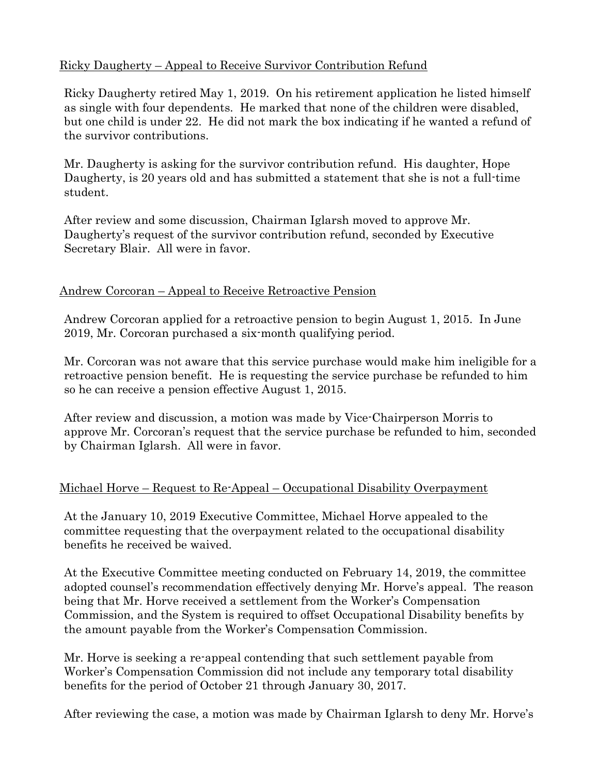## Ricky Daugherty – Appeal to Receive Survivor Contribution Refund

Ricky Daugherty retired May 1, 2019. On his retirement application he listed himself as single with four dependents. He marked that none of the children were disabled, but one child is under 22. He did not mark the box indicating if he wanted a refund of the survivor contributions.

Mr. Daugherty is asking for the survivor contribution refund. His daughter, Hope Daugherty, is 20 years old and has submitted a statement that she is not a full-time student.

After review and some discussion, Chairman Iglarsh moved to approve Mr. Daugherty's request of the survivor contribution refund, seconded by Executive Secretary Blair. All were in favor.

#### Andrew Corcoran – Appeal to Receive Retroactive Pension

Andrew Corcoran applied for a retroactive pension to begin August 1, 2015. In June 2019, Mr. Corcoran purchased a six-month qualifying period.

Mr. Corcoran was not aware that this service purchase would make him ineligible for a retroactive pension benefit. He is requesting the service purchase be refunded to him so he can receive a pension effective August 1, 2015.

After review and discussion, a motion was made by Vice-Chairperson Morris to approve Mr. Corcoran's request that the service purchase be refunded to him, seconded by Chairman Iglarsh. All were in favor.

#### Michael Horve – Request to Re-Appeal – Occupational Disability Overpayment

At the January 10, 2019 Executive Committee, Michael Horve appealed to the committee requesting that the overpayment related to the occupational disability benefits he received be waived.

At the Executive Committee meeting conducted on February 14, 2019, the committee adopted counsel's recommendation effectively denying Mr. Horve's appeal. The reason being that Mr. Horve received a settlement from the Worker's Compensation Commission, and the System is required to offset Occupational Disability benefits by the amount payable from the Worker's Compensation Commission.

Mr. Horve is seeking a re-appeal contending that such settlement payable from Worker's Compensation Commission did not include any temporary total disability benefits for the period of October 21 through January 30, 2017.

After reviewing the case, a motion was made by Chairman Iglarsh to deny Mr. Horve's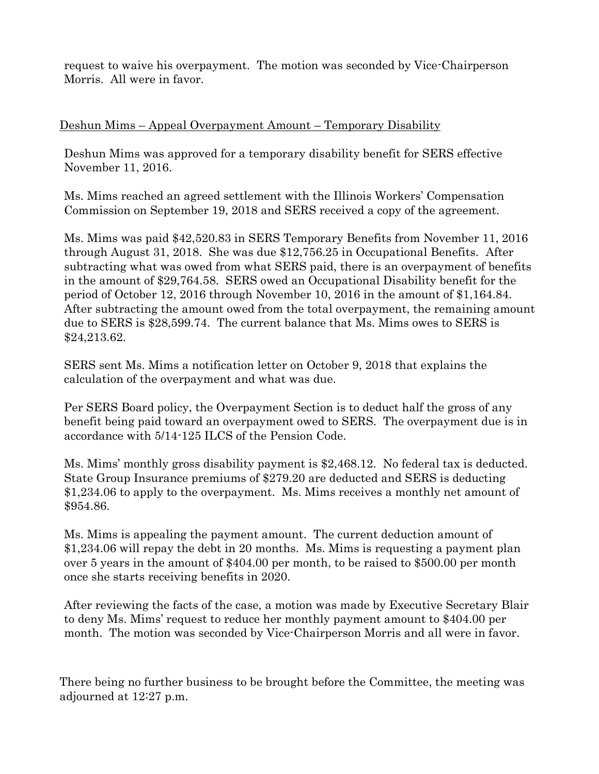request to waive his overpayment. The motion was seconded by Vice-Chairperson Morris. All were in favor.

#### Deshun Mims – Appeal Overpayment Amount – Temporary Disability

Deshun Mims was approved for a temporary disability benefit for SERS effective November 11, 2016.

Ms. Mims reached an agreed settlement with the Illinois Workers' Compensation Commission on September 19, 2018 and SERS received a copy of the agreement.

Ms. Mims was paid \$42,520.83 in SERS Temporary Benefits from November 11, 2016 through August 31, 2018. She was due \$12,756.25 in Occupational Benefits. After subtracting what was owed from what SERS paid, there is an overpayment of benefits in the amount of \$29,764.58. SERS owed an Occupational Disability benefit for the period of October 12, 2016 through November 10, 2016 in the amount of \$1,164.84. After subtracting the amount owed from the total overpayment, the remaining amount due to SERS is \$28,599.74. The current balance that Ms. Mims owes to SERS is \$24,213.62.

SERS sent Ms. Mims a notification letter on October 9, 2018 that explains the calculation of the overpayment and what was due.

Per SERS Board policy, the Overpayment Section is to deduct half the gross of any benefit being paid toward an overpayment owed to SERS. The overpayment due is in accordance with 5/14-125 ILCS of the Pension Code.

Ms. Mims' monthly gross disability payment is \$2,468.12. No federal tax is deducted. State Group Insurance premiums of \$279.20 are deducted and SERS is deducting \$1,234.06 to apply to the overpayment. Ms. Mims receives a monthly net amount of \$954.86.

Ms. Mims is appealing the payment amount. The current deduction amount of \$1,234.06 will repay the debt in 20 months. Ms. Mims is requesting a payment plan over 5 years in the amount of \$404.00 per month, to be raised to \$500.00 per month once she starts receiving benefits in 2020.

After reviewing the facts of the case, a motion was made by Executive Secretary Blair to deny Ms. Mims' request to reduce her monthly payment amount to \$404.00 per month. The motion was seconded by Vice-Chairperson Morris and all were in favor.

There being no further business to be brought before the Committee, the meeting was adjourned at 12:27 p.m.